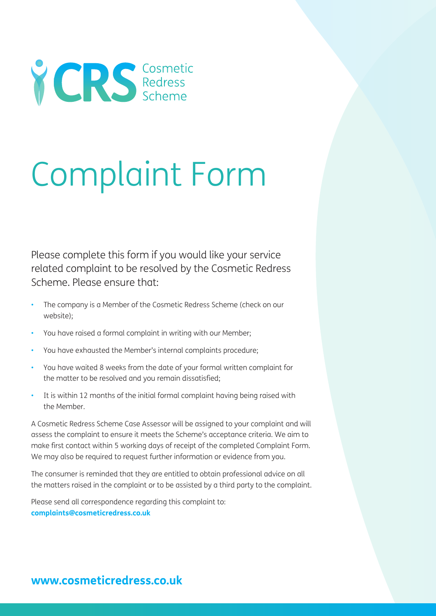

# Complaint Form

Please complete this form if you would like your service related complaint to be resolved by the Cosmetic Redress Scheme. Please ensure that:

- The company is a Member of the Cosmetic Redress Scheme (check on our website);
- You have raised a formal complaint in writing with our Member;
- You have exhausted the Member's internal complaints procedure;
- You have waited 8 weeks from the date of your formal written complaint for the matter to be resolved and you remain dissatisfied;
- It is within 12 months of the initial formal complaint having being raised with the Member.

A Cosmetic Redress Scheme Case Assessor will be assigned to your complaint and will assess the complaint to ensure it meets the Scheme's acceptance criteria. We aim to make first contact within 5 working days of receipt of the completed Complaint Form. We may also be required to request further information or evidence from you.

The consumer is reminded that they are entitled to obtain professional advice on all the matters raised in the complaint or to be assisted by a third party to the complaint.

Please send all correspondence regarding this complaint to: **complaints@cosmeticredress.co.uk**

# **www.cosmeticredress.co.uk**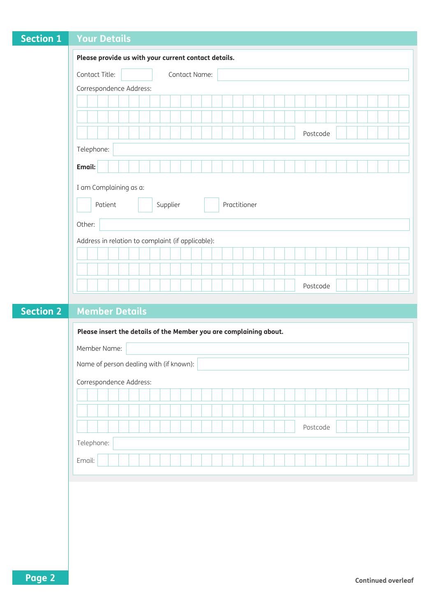| <b>Section 1</b>                                  | <b>Your Details</b>                                  |  |  |  |  |
|---------------------------------------------------|------------------------------------------------------|--|--|--|--|
|                                                   | Please provide us with your current contact details. |  |  |  |  |
|                                                   | Contact Title:<br>Contact Name:                      |  |  |  |  |
|                                                   | Correspondence Address:                              |  |  |  |  |
|                                                   |                                                      |  |  |  |  |
|                                                   |                                                      |  |  |  |  |
|                                                   | Postcode                                             |  |  |  |  |
|                                                   | Telephone:                                           |  |  |  |  |
|                                                   | Email:                                               |  |  |  |  |
| I am Complaining as a:                            |                                                      |  |  |  |  |
| Supplier<br>Patient<br>Practitioner               |                                                      |  |  |  |  |
|                                                   | Other:                                               |  |  |  |  |
| Address in relation to complaint (if applicable): |                                                      |  |  |  |  |
|                                                   |                                                      |  |  |  |  |
|                                                   |                                                      |  |  |  |  |
|                                                   | Postcode                                             |  |  |  |  |
|                                                   |                                                      |  |  |  |  |

#### **Section 2 Member Details**

| Please insert the details of the Member you are complaining about. |  |  |  |  |
|--------------------------------------------------------------------|--|--|--|--|
| Member Name:                                                       |  |  |  |  |
| Name of person dealing with (if known):                            |  |  |  |  |
| Correspondence Address:                                            |  |  |  |  |
|                                                                    |  |  |  |  |
|                                                                    |  |  |  |  |
| Postcode                                                           |  |  |  |  |
| Telephone:                                                         |  |  |  |  |
| Email:                                                             |  |  |  |  |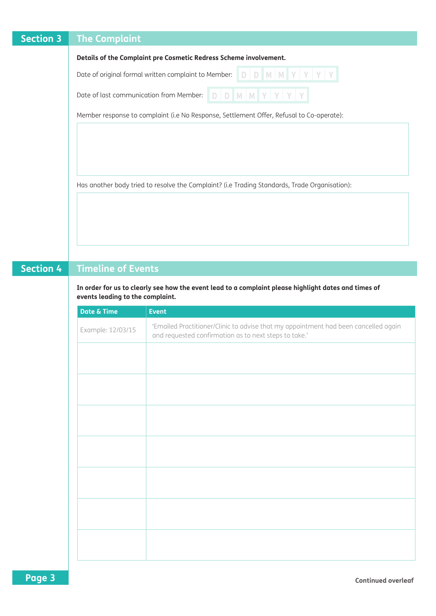| <b>Section 3</b> | <b>The Complaint</b>                                                                          |  |  |
|------------------|-----------------------------------------------------------------------------------------------|--|--|
|                  | Details of the Complaint pre Cosmetic Redress Scheme involvement.                             |  |  |
|                  |                                                                                               |  |  |
|                  |                                                                                               |  |  |
|                  | Member response to complaint (i.e No Response, Settlement Offer, Refusal to Co-operate):      |  |  |
|                  |                                                                                               |  |  |
|                  |                                                                                               |  |  |
|                  |                                                                                               |  |  |
|                  | Has another body tried to resolve the Complaint? (i.e Trading Standards, Trade Organisation): |  |  |
|                  |                                                                                               |  |  |
|                  |                                                                                               |  |  |

# **Section 4 Timeline of Events**

**In order for us to clearly see how the event lead to a complaint please highlight dates and times of events leading to the complaint.**

| Date & Time       | <b>Event</b>                                                                                                                                 |
|-------------------|----------------------------------------------------------------------------------------------------------------------------------------------|
| Example: 12/03/15 | 'Emailed Practitioner/Clinic to advise that my appointment had been cancelled again<br>and requested confirmation as to next steps to take.' |
|                   |                                                                                                                                              |
|                   |                                                                                                                                              |
|                   |                                                                                                                                              |
|                   |                                                                                                                                              |
|                   |                                                                                                                                              |
|                   |                                                                                                                                              |
|                   |                                                                                                                                              |
|                   |                                                                                                                                              |
|                   |                                                                                                                                              |
|                   |                                                                                                                                              |
|                   |                                                                                                                                              |
|                   |                                                                                                                                              |
|                   |                                                                                                                                              |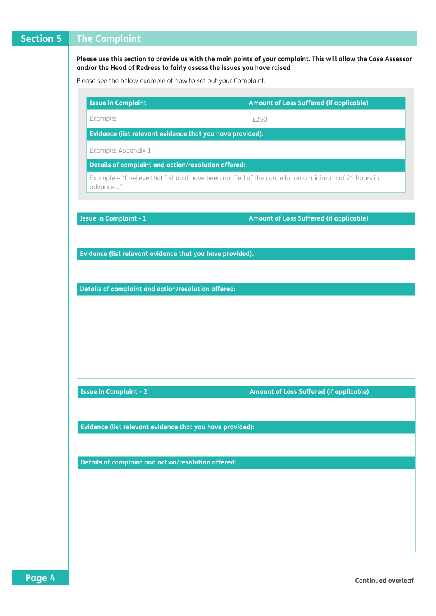# **Section 5 The Complaint**

**Please use this section to provide us with the main points of your complaint. This will allow the Case Assessor and/or the Head of Redress to fairly assess the issues you have raised**

Please see the below example of how to set out your Complaint.

| <b>Issue in Complaint</b>                                                                                                                         | Amount of Loss Suffered (if applicable)                                                            |
|---------------------------------------------------------------------------------------------------------------------------------------------------|----------------------------------------------------------------------------------------------------|
| Example:                                                                                                                                          | £250                                                                                               |
| Evidence (list relevant evidence that you have provided):                                                                                         |                                                                                                    |
| Example: Appendix 1-                                                                                                                              |                                                                                                    |
| Details of complaint and action/resolution offered:                                                                                               |                                                                                                    |
| advance"                                                                                                                                          | Example - "I believe that I should have been notified of the cancellation a minimum of 24 hours in |
| <b>Issue in Complaint - 1</b>                                                                                                                     | <b>Amount of Loss Suffered (if applicable)</b>                                                     |
|                                                                                                                                                   |                                                                                                    |
| Evidence (list relevant evidence that you have provided):                                                                                         |                                                                                                    |
|                                                                                                                                                   |                                                                                                    |
|                                                                                                                                                   |                                                                                                    |
|                                                                                                                                                   |                                                                                                    |
| Details of complaint and action/resolution offered:                                                                                               |                                                                                                    |
|                                                                                                                                                   |                                                                                                    |
|                                                                                                                                                   | <b>Amount of Loss Suffered (if applicable)</b>                                                     |
|                                                                                                                                                   |                                                                                                    |
|                                                                                                                                                   |                                                                                                    |
|                                                                                                                                                   |                                                                                                    |
|                                                                                                                                                   |                                                                                                    |
| <b>Issue in Complaint - 2</b><br>Evidence (list relevant evidence that you have provided):<br>Details of complaint and action/resolution offered: |                                                                                                    |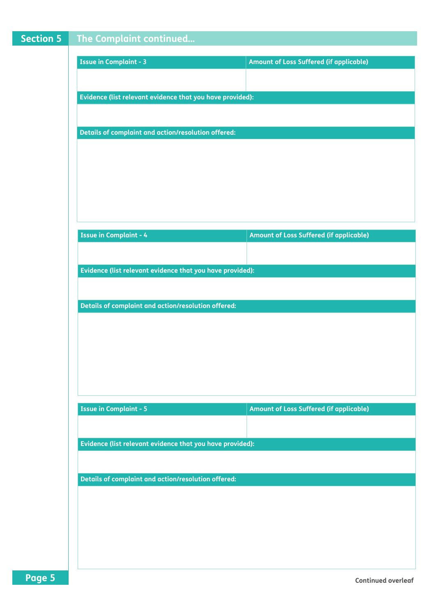| Section 5 | The Complaint continued                                   |                                                |
|-----------|-----------------------------------------------------------|------------------------------------------------|
|           |                                                           |                                                |
|           | <b>Issue in Complaint - 3</b>                             | <b>Amount of Loss Suffered (if applicable)</b> |
|           |                                                           |                                                |
|           | Evidence (list relevant evidence that you have provided): |                                                |
|           |                                                           |                                                |
|           | Details of complaint and action/resolution offered:       |                                                |
|           |                                                           |                                                |
|           |                                                           |                                                |
|           |                                                           |                                                |
|           |                                                           |                                                |
|           |                                                           |                                                |
|           | <b>Issue in Complaint - 4</b>                             | Amount of Loss Suffered (if applicable)        |
|           |                                                           |                                                |
|           | Evidence (list relevant evidence that you have provided): |                                                |
|           |                                                           |                                                |
|           | Details of complaint and action/resolution offered:       |                                                |
|           |                                                           |                                                |
|           |                                                           |                                                |
|           |                                                           |                                                |
|           |                                                           |                                                |
|           |                                                           |                                                |
|           |                                                           |                                                |
|           | <b>Issue in Complaint - 5</b>                             | Amount of Loss Suffered (if applicable)        |
|           |                                                           |                                                |
|           | Evidence (list relevant evidence that you have provided): |                                                |
|           |                                                           |                                                |
|           | Details of complaint and action/resolution offered:       |                                                |
|           |                                                           |                                                |
|           |                                                           |                                                |
|           |                                                           |                                                |
|           |                                                           |                                                |
|           |                                                           |                                                |
| Page 5    |                                                           | <b>Continued overleaf</b>                      |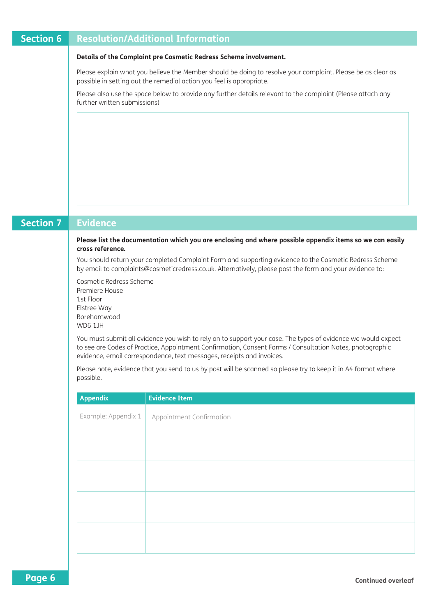# **Section 6 Resolution/Additional Information**

#### **Details of the Complaint pre Cosmetic Redress Scheme involvement.**

Please explain what you believe the Member should be doing to resolve your complaint. Please be as clear as possible in setting out the remedial action you feel is appropriate.

Please also use the space below to provide any further details relevant to the complaint (Please attach any further written submissions)

# **Section 7 Evidence Appendix Evidence Item** Example: Appendix  $1 \mid$  Appointment Confirmation **Please list the documentation which you are enclosing and where possible appendix items so we can easily cross reference.** You should return your completed Complaint Form and supporting evidence to the Cosmetic Redress Scheme by email to complaints@cosmeticredress.co.uk. Alternatively, please post the form and your evidence to: Cosmetic Redress Scheme Premiere House 1st Floor Elstree Way Borehamwood WD6 1JH You must submit all evidence you wish to rely on to support your case. The types of evidence we would expect to see are Codes of Practice, Appointment Confirmation, Consent Forms / Consultation Notes, photographic evidence, email correspondence, text messages, receipts and invoices. Please note, evidence that you send to us by post will be scanned so please try to keep it in A4 format where possible.